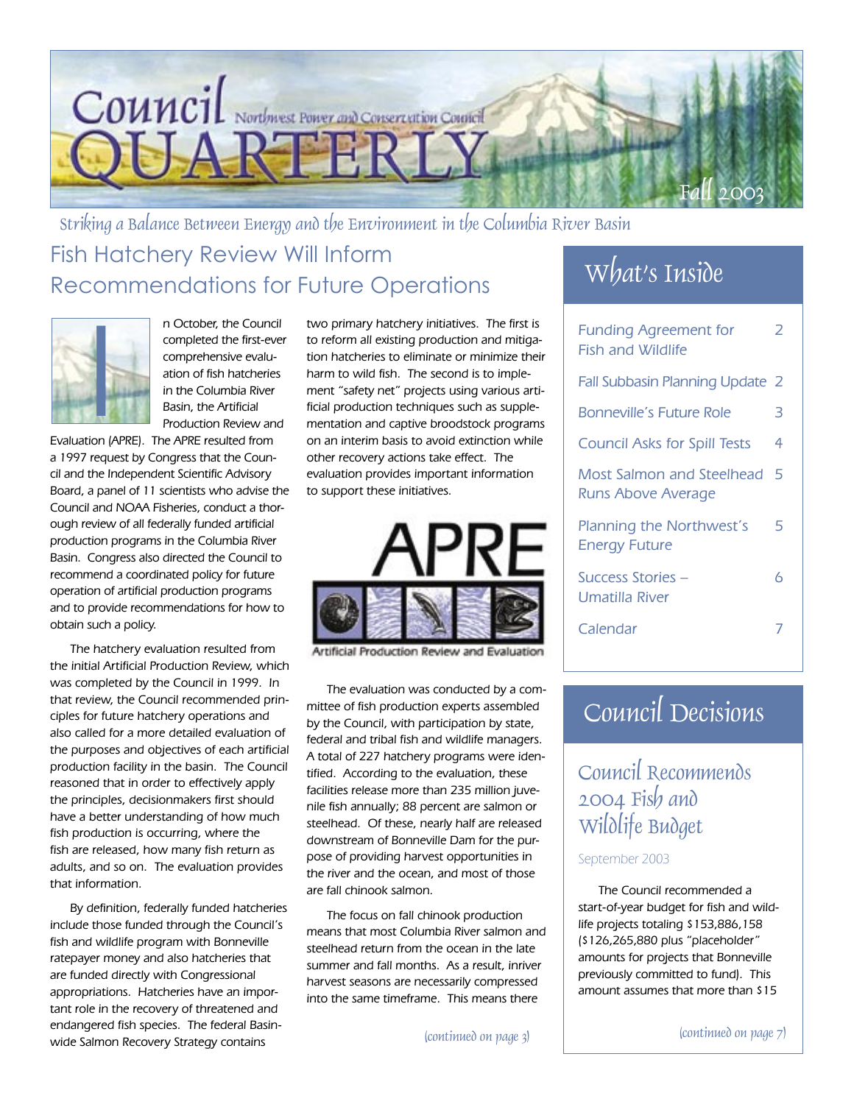

Striking a Balance Between Energy and the Environment in the Columbia River Basin Fish Hatchery Review Will Inform Recommendations for Future Operations



n October, the Council completed the first-ever comprehensive evaluation of fish hatcheries in the Columbia River Basin, the Artificial Production Review and

Evaluation (APRE). The APRE resulted from a 1997 request by Congress that the Council and the Independent Scientific Advisory Board, a panel of 11 scientists who advise the Council and NOAA Fisheries, conduct a thorough review of all federally funded artificial production programs in the Columbia River Basin. Congress also directed the Council to recommend a coordinated policy for future operation of artificial production programs and to provide recommendations for how to obtain such a policy.

The hatchery evaluation resulted from the initial Artificial Production Review, which was completed by the Council in 1999. In that review, the Council recommended principles for future hatchery operations and also called for a more detailed evaluation of the purposes and objectives of each artificial production facility in the basin. The Council reasoned that in order to effectively apply the principles, decisionmakers first should have a better understanding of how much fish production is occurring, where the fish are released, how many fish return as adults, and so on. The evaluation provides that information.

By definition, federally funded hatcheries include those funded through the Council's fish and wildlife program with Bonneville ratepayer money and also hatcheries that are funded directly with Congressional appropriations. Hatcheries have an important role in the recovery of threatened and endangered fish species. The federal Basinwide Salmon Recovery Strategy contains

two primary hatchery initiatives. The first is to reform all existing production and mitigation hatcheries to eliminate or minimize their harm to wild fish. The second is to implement "safety net" projects using various artificial production techniques such as supplementation and captive broodstock programs on an interim basis to avoid extinction while other recovery actions take effect. The evaluation provides important information to support these initiatives.



Artificial Production Review and Evaluation

The evaluation was conducted by a committee of fish production experts assembled by the Council, with participation by state, federal and tribal fish and wildlife managers. A total of 227 hatchery programs were identified. According to the evaluation, these facilities release more than 235 million juvenile fish annually; 88 percent are salmon or steelhead. Of these, nearly half are released downstream of Bonneville Dam for the purpose of providing harvest opportunities in the river and the ocean, and most of those are fall chinook salmon.

The focus on fall chinook production means that most Columbia River salmon and steelhead return from the ocean in the late summer and fall months. As a result, inriver harvest seasons are necessarily compressed into the same timeframe. This means there

## What's Inside

| <b>Funding Agreement for</b><br><b>Fish and Wildlife</b> | 2 |
|----------------------------------------------------------|---|
| Fall Subbasin Planning Update 2                          |   |
| Bonneville's Future Role                                 | 3 |
| <b>Council Asks for Spill Tests</b>                      | 4 |
| Most Salmon and Steelhead<br>Runs Above Average          | 5 |
| Planning the Northwest's<br><b>Energy Future</b>         | 5 |
| Success Stories -<br>Umatilla River                      | 6 |
| Calendar                                                 |   |

## Council Decisions

## Council Recommends 2004 Fish and Wildlife Budget

### September 2003

The Council recommended a start-of-year budget for fish and wildlife projects totaling \$153,886,158 (\$126,265,880 plus "placeholder" amounts for projects that Bonneville previously committed to fund). This amount assumes that more than \$15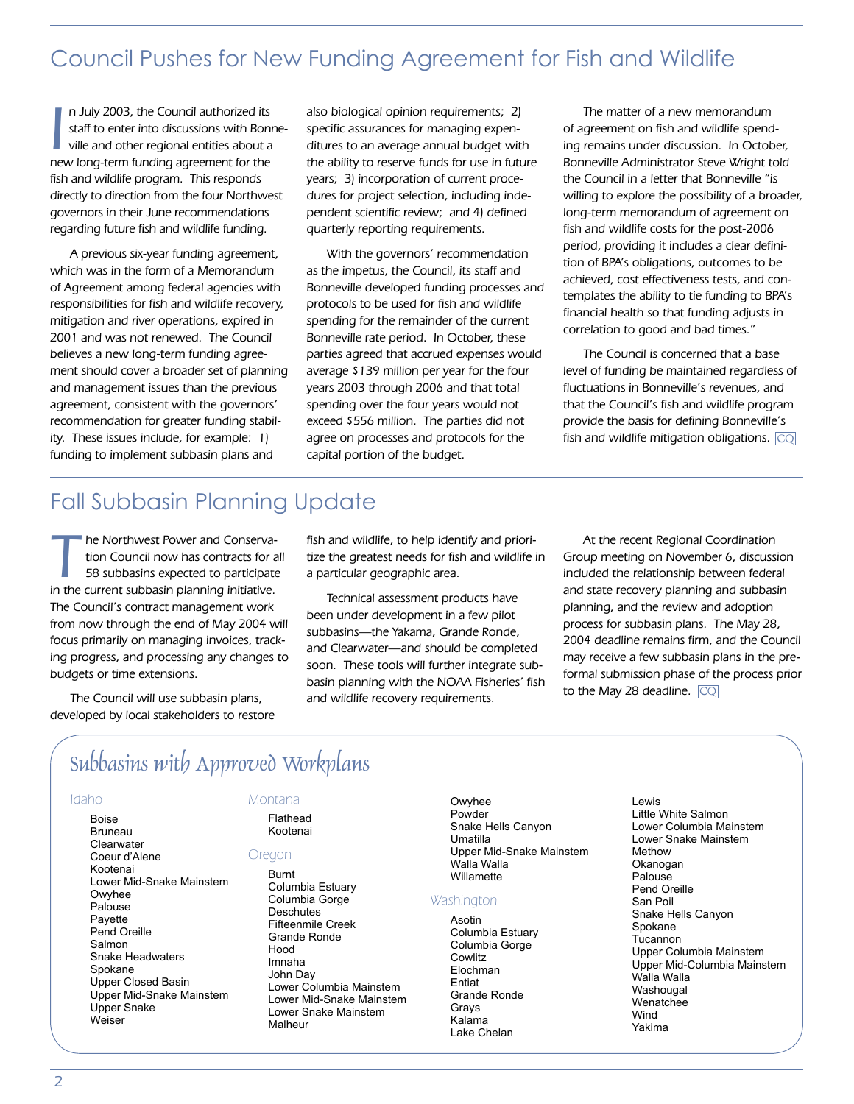## Council Pushes for New Funding Agreement for Fish and Wildlife

In July 2003, the Council authorized its<br>staff to enter into discussions with Bonn<br>ville and other regional entities about a<br>new long-term funding agreement for the n July 2003, the Council authorized its staff to enter into discussions with Bonneville and other regional entities about a fish and wildlife program. This responds directly to direction from the four Northwest governors in their June recommendations regarding future fish and wildlife funding.

A previous six-year funding agreement, which was in the form of a Memorandum of Agreement among federal agencies with responsibilities for fish and wildlife recovery, mitigation and river operations, expired in 2001 and was not renewed. The Council believes a new long-term funding agreement should cover a broader set of planning and management issues than the previous agreement, consistent with the governors' recommendation for greater funding stability. These issues include, for example: 1) funding to implement subbasin plans and

also biological opinion requirements; 2) specific assurances for managing expenditures to an average annual budget with the ability to reserve funds for use in future years; 3) incorporation of current procedures for project selection, including independent scientific review; and 4) defined quarterly reporting requirements.

With the governors' recommendation as the impetus, the Council, its staff and Bonneville developed funding processes and protocols to be used for fish and wildlife spending for the remainder of the current Bonneville rate period. In October, these parties agreed that accrued expenses would average \$139 million per year for the four years 2003 through 2006 and that total spending over the four years would not exceed \$556 million. The parties did not agree on processes and protocols for the capital portion of the budget.

The matter of a new memorandum of agreement on fish and wildlife spending remains under discussion. In October, Bonneville Administrator Steve Wright told the Council in a letter that Bonneville "is willing to explore the possibility of a broader, long-term memorandum of agreement on fish and wildlife costs for the post-2006 period, providing it includes a clear definition of BPA's obligations, outcomes to be achieved, cost effectiveness tests, and contemplates the ability to tie funding to BPA's financial health so that funding adjusts in correlation to good and bad times."

The Council is concerned that a base level of funding be maintained regardless of fluctuations in Bonneville's revenues, and that the Council's fish and wildlife program provide the basis for defining Bonneville's fish and wildlife mitigation obligations.  $\overline{\text{CQ}}$ 

## Fall Subbasin Planning Update

The Northwest Power and Conserva-<br>tion Council now has contracts for all<br>58 subbasins expected to participate<br>in the current subbasin planning initiating tion Council now has contracts for all in the current subbasin planning initiative. The Council's contract management work from now through the end of May 2004 will focus primarily on managing invoices, tracking progress, and processing any changes to budgets or time extensions.

The Council will use subbasin plans, developed by local stakeholders to restore fish and wildlife, to help identify and prioritize the greatest needs for fish and wildlife in a particular geographic area.

Technical assessment products have been under development in a few pilot subbasins—the Yakama, Grande Ronde, and Clearwater—and should be completed soon. These tools will further integrate subbasin planning with the NOAA Fisheries' fish and wildlife recovery requirements.

At the recent Regional Coordination Group meeting on November 6, discussion included the relationship between federal and state recovery planning and subbasin planning, and the review and adoption process for subbasin plans. The May 28, 2004 deadline remains firm, and the Council may receive a few subbasin plans in the preformal submission phase of the process prior to the May 28 deadline.  $\overline{\mathbb{C}\mathbb{Q}}$ 

## Subbasins with Approved Workplans

### Idaho

Boise Bruneau Clearwater Montana Flathead

Kootenai

Coeur d'Alene Kootenai Lower Mid-Snake Mainstem Owyhee Palouse Payette Pend Oreille Salmon Snake Headwaters Spokane Upper Closed Basin Upper Mid-Snake Mainstem Upper Snake Weiser

### Oregon

Burnt Columbia Estuary Columbia Gorge **Deschutes** Fifteenmile Creek Grande Ronde Hood Imnaha John Day Lower Columbia Mainstem Lower Mid-Snake Mainstem Lower Snake Mainstem Malheur

Owyhee Powder Snake Hells Canyon Umatilla Upper Mid-Snake Mainstem Walla Walla **Willamette** 

### **Washington**

Asotin Columbia Estuary Columbia Gorge **Cowlitz** Elochman Entiat Grande Ronde Grays Kalama Lake Chelan

Lewis Little White Salmon Lower Columbia Mainstem Lower Snake Mainstem Methow Okanogan Palouse Pend Oreille San Poil Snake Hells Canyon Spokane **Tucannon** Upper Columbia Mainstem Upper Mid-Columbia Mainstem Walla Walla **Washougal Wenatchee** Wind Yakima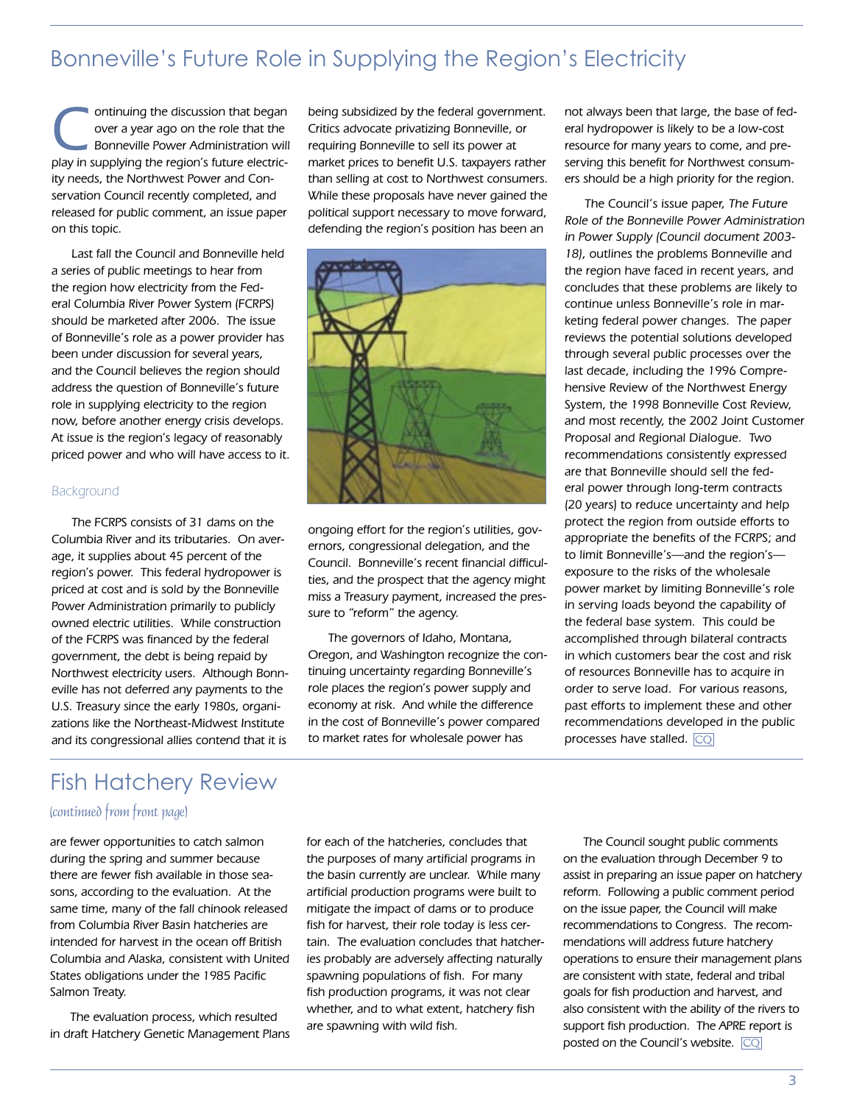## Bonneville's Future Role in Supplying the Region's Electricity

Ontinuing the discussion that began<br>
over a year ago on the role that the<br>
Bonneville Power Administration will over a year ago on the role that the play in supplying the region's future electricity needs, the Northwest Power and Conservation Council recently completed, and released for public comment, an issue paper on this topic.

Last fall the Council and Bonneville held a series of public meetings to hear from the region how electricity from the Federal Columbia River Power System (FCRPS) should be marketed after 2006. The issue of Bonneville's role as a power provider has been under discussion for several years, and the Council believes the region should address the question of Bonneville's future role in supplying electricity to the region now, before another energy crisis develops. At issue is the region's legacy of reasonably priced power and who will have access to it.

### **Background**

The FCRPS consists of 31 dams on the Columbia River and its tributaries. On average, it supplies about 45 percent of the region's power. This federal hydropower is priced at cost and is sold by the Bonneville Power Administration primarily to publicly owned electric utilities. While construction of the FCRPS was financed by the federal government, the debt is being repaid by Northwest electricity users. Although Bonneville has not deferred any payments to the U.S. Treasury since the early 1980s, organizations like the Northeast-Midwest Institute and its congressional allies contend that it is

being subsidized by the federal government. Critics advocate privatizing Bonneville, or requiring Bonneville to sell its power at market prices to benefit U.S. taxpayers rather than selling at cost to Northwest consumers. While these proposals have never gained the political support necessary to move forward, defending the region's position has been an



ongoing effort for the region's utilities, governors, congressional delegation, and the Council. Bonneville's recent financial difficulties, and the prospect that the agency might miss a Treasury payment, increased the pressure to "reform" the agency.

The governors of Idaho, Montana, Oregon, and Washington recognize the continuing uncertainty regarding Bonneville's role places the region's power supply and economy at risk. And while the difference in the cost of Bonneville's power compared to market rates for wholesale power has

not always been that large, the base of federal hydropower is likely to be a low-cost resource for many years to come, and preserving this benefit for Northwest consumers should be a high priority for the region.

The Council's issue paper, The Future Role of the Bonneville Power Administration in Power Supply (Council document 2003- 18), outlines the problems Bonneville and the region have faced in recent years, and concludes that these problems are likely to continue unless Bonneville's role in marketing federal power changes. The paper reviews the potential solutions developed through several public processes over the last decade, including the 1996 Comprehensive Review of the Northwest Energy System, the 1998 Bonneville Cost Review, and most recently, the 2002 Joint Customer Proposal and Regional Dialogue. Two recommendations consistently expressed are that Bonneville should sell the federal power through long-term contracts (20 years) to reduce uncertainty and help protect the region from outside efforts to appropriate the benefits of the FCRPS; and to limit Bonneville's—and the region's exposure to the risks of the wholesale power market by limiting Bonneville's role in serving loads beyond the capability of the federal base system. This could be accomplished through bilateral contracts in which customers bear the cost and risk of resources Bonneville has to acquire in order to serve load. For various reasons, past efforts to implement these and other recommendations developed in the public processes have stalled. CO

## Fish Hatchery Review

### (continued from front page)

are fewer opportunities to catch salmon during the spring and summer because there are fewer fish available in those seasons, according to the evaluation. At the same time, many of the fall chinook released from Columbia River Basin hatcheries are intended for harvest in the ocean off British Columbia and Alaska, consistent with United States obligations under the 1985 Pacific Salmon Treaty.

The evaluation process, which resulted in draft Hatchery Genetic Management Plans for each of the hatcheries, concludes that the purposes of many artificial programs in the basin currently are unclear. While many artificial production programs were built to mitigate the impact of dams or to produce fish for harvest, their role today is less certain. The evaluation concludes that hatcheries probably are adversely affecting naturally spawning populations of fish. For many fish production programs, it was not clear whether, and to what extent, hatchery fish are spawning with wild fish.

The Council sought public comments on the evaluation through December 9 to assist in preparing an issue paper on hatchery reform. Following a public comment period on the issue paper, the Council will make recommendations to Congress. The recommendations will address future hatchery operations to ensure their management plans are consistent with state, federal and tribal goals for fish production and harvest, and also consistent with the ability of the rivers to support fish production. The APRE report is posted on the Council's website. CQ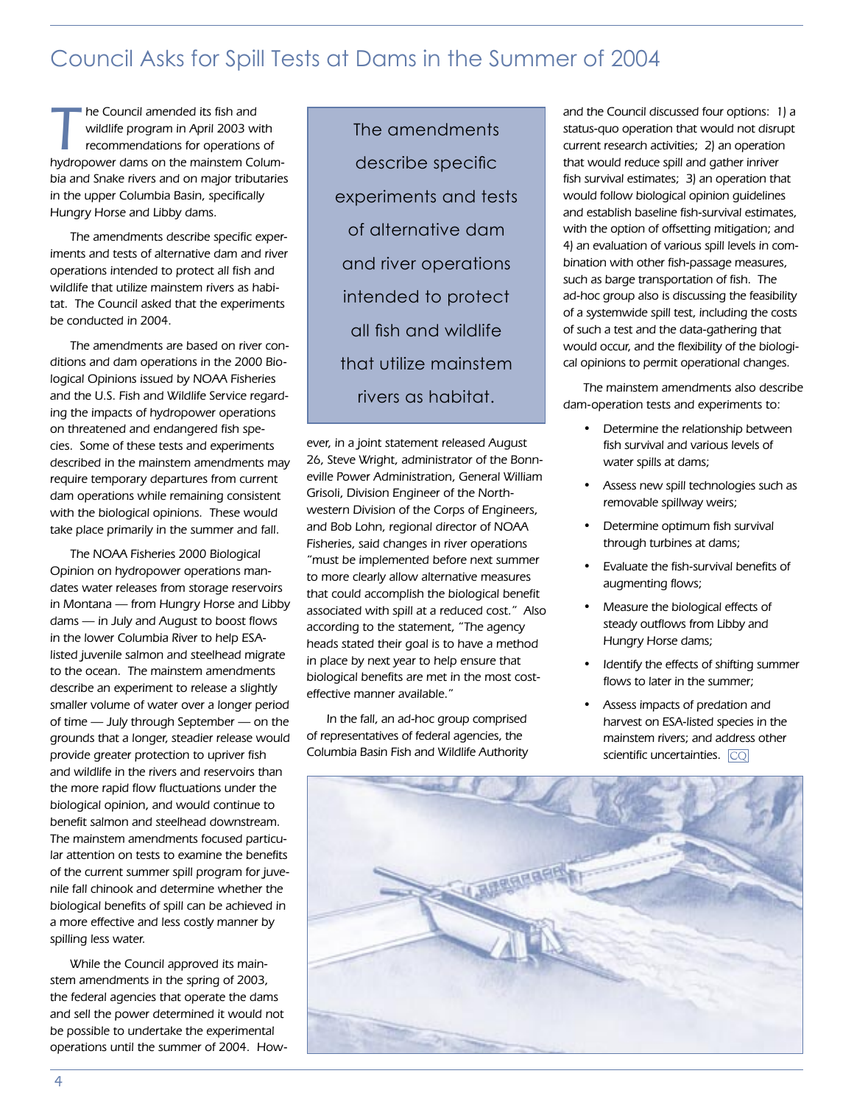## Council Asks for Spill Tests at Dams in the Summer of 2004

The Council amended its fish and<br>
wildlife program in April 2003 with<br>
recommendations for operations of<br>
by contract and so the mainston Column wildlife program in April 2003 with hydropower dams on the mainstem Columbia and Snake rivers and on major tributaries in the upper Columbia Basin, specifically Hungry Horse and Libby dams.

The amendments describe specific experiments and tests of alternative dam and river operations intended to protect all fish and wildlife that utilize mainstem rivers as habitat. The Council asked that the experiments be conducted in 2004.

The amendments are based on river conditions and dam operations in the 2000 Biological Opinions issued by NOAA Fisheries and the U.S. Fish and Wildlife Service regarding the impacts of hydropower operations on threatened and endangered fish species. Some of these tests and experiments described in the mainstem amendments may require temporary departures from current dam operations while remaining consistent with the biological opinions. These would take place primarily in the summer and fall.

The NOAA Fisheries 2000 Biological Opinion on hydropower operations mandates water releases from storage reservoirs in Montana — from Hungry Horse and Libby dams — in July and August to boost flows in the lower Columbia River to help ESAlisted juvenile salmon and steelhead migrate to the ocean. The mainstem amendments describe an experiment to release a slightly smaller volume of water over a longer period of time — July through September — on the grounds that a longer, steadier release would provide greater protection to upriver fish and wildlife in the rivers and reservoirs than the more rapid flow fluctuations under the biological opinion, and would continue to benefit salmon and steelhead downstream. The mainstem amendments focused particular attention on tests to examine the benefits of the current summer spill program for juvenile fall chinook and determine whether the biological benefits of spill can be achieved in a more effective and less costly manner by spilling less water.

While the Council approved its mainstem amendments in the spring of 2003, the federal agencies that operate the dams and sell the power determined it would not be possible to undertake the experimental operations until the summer of 2004. How-

The amendments describe specific experiments and tests of alternative dam and river operations intended to protect all fish and wildlife that utilize mainstem rivers as habitat.

ever, in a joint statement released August 26, Steve Wright, administrator of the Bonneville Power Administration, General William Grisoli, Division Engineer of the Northwestern Division of the Corps of Engineers, and Bob Lohn, regional director of NOAA Fisheries, said changes in river operations "must be implemented before next summer to more clearly allow alternative measures that could accomplish the biological benefit associated with spill at a reduced cost." Also according to the statement, "The agency heads stated their goal is to have a method in place by next year to help ensure that biological benefits are met in the most costeffective manner available."

In the fall, an ad-hoc group comprised of representatives of federal agencies, the Columbia Basin Fish and Wildlife Authority and the Council discussed four options: 1) a status-quo operation that would not disrupt current research activities; 2) an operation that would reduce spill and gather inriver fish survival estimates; 3) an operation that would follow biological opinion guidelines and establish baseline fish-survival estimates, with the option of offsetting mitigation; and 4) an evaluation of various spill levels in combination with other fish-passage measures, such as barge transportation of fish. The ad-hoc group also is discussing the feasibility of a systemwide spill test, including the costs of such a test and the data-gathering that would occur, and the flexibility of the biological opinions to permit operational changes.

The mainstem amendments also describe dam-operation tests and experiments to:

- Determine the relationship between fish survival and various levels of water spills at dams;
- Assess new spill technologies such as removable spillway weirs;
- Determine optimum fish survival through turbines at dams;
- Evaluate the fish-survival benefits of augmenting flows;
- Measure the biological effects of steady outflows from Libby and Hungry Horse dams;
- Identify the effects of shifting summer flows to later in the summer;
- Assess impacts of predation and harvest on ESA-listed species in the mainstem rivers; and address other scientific uncertainties. **CQ**

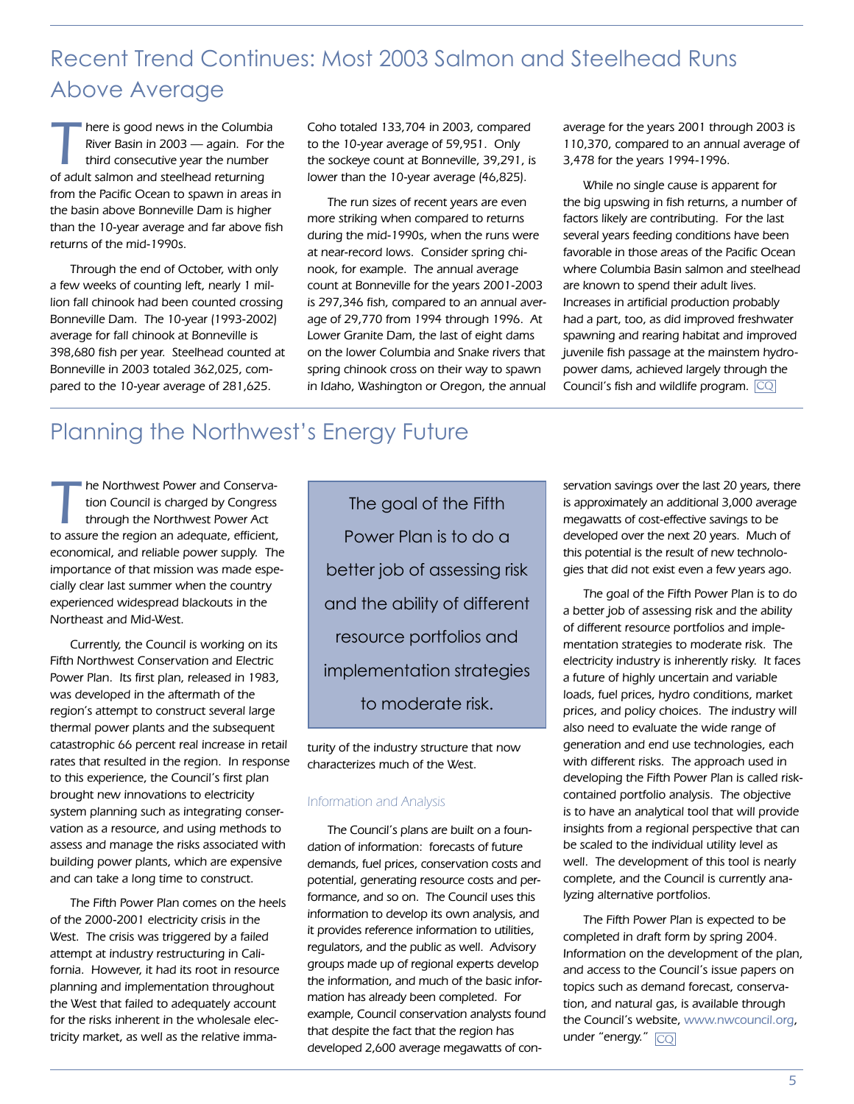## Recent Trend Continues: Most 2003 Salmon and Steelhead Runs Above Average

here is good news in the Columbia<br>
River Basin in 2003 — again. For the<br>
third consecutive year the number<br>
of adult salmon and stophood returning River Basin in 2003 — again. For the of adult salmon and steelhead returning from the Pacific Ocean to spawn in areas in the basin above Bonneville Dam is higher than the 10-year average and far above fish returns of the mid-1990s.

Through the end of October, with only a few weeks of counting left, nearly 1 million fall chinook had been counted crossing Bonneville Dam. The 10-year (1993-2002) average for fall chinook at Bonneville is 398,680 fish per year. Steelhead counted at Bonneville in 2003 totaled 362,025, compared to the 10-year average of 281,625.

Coho totaled 133,704 in 2003, compared to the 10-year average of 59,951. Only the sockeye count at Bonneville, 39,291, is lower than the 10-year average (46,825).

The run sizes of recent years are even more striking when compared to returns during the mid-1990s, when the runs were at near-record lows. Consider spring chinook, for example. The annual average count at Bonneville for the years 2001-2003 is 297,346 fish, compared to an annual average of 29,770 from 1994 through 1996. At Lower Granite Dam, the last of eight dams on the lower Columbia and Snake rivers that spring chinook cross on their way to spawn in Idaho, Washington or Oregon, the annual average for the years 2001 through 2003 is 110,370, compared to an annual average of 3,478 for the years 1994-1996.

While no single cause is apparent for the big upswing in fish returns, a number of factors likely are contributing. For the last several years feeding conditions have been favorable in those areas of the Pacific Ocean where Columbia Basin salmon and steelhead are known to spend their adult lives. Increases in artificial production probably had a part, too, as did improved freshwater spawning and rearing habitat and improved juvenile fish passage at the mainstem hydropower dams, achieved largely through the Council's fish and wildlife program.  $\boxed{\text{CQ}}$ 

## Planning the Northwest's Energy Future

The Northwest Power and Conserva-<br>tion Council is charged by Congress<br>through the Northwest Power Act tion Council is charged by Congress to assure the region an adequate, efficient, economical, and reliable power supply. The importance of that mission was made especially clear last summer when the country experienced widespread blackouts in the Northeast and Mid-West.

Currently, the Council is working on its Fifth Northwest Conservation and Electric Power Plan. Its first plan, released in 1983, was developed in the aftermath of the region's attempt to construct several large thermal power plants and the subsequent catastrophic 66 percent real increase in retail rates that resulted in the region. In response to this experience, the Council's first plan brought new innovations to electricity system planning such as integrating conservation as a resource, and using methods to assess and manage the risks associated with building power plants, which are expensive and can take a long time to construct.

The Fifth Power Plan comes on the heels of the 2000-2001 electricity crisis in the West. The crisis was triggered by a failed attempt at industry restructuring in California. However, it had its root in resource planning and implementation throughout the West that failed to adequately account for the risks inherent in the wholesale electricity market, as well as the relative imma-

The goal of the Fifth Power Plan is to do a better job of assessing risk and the ability of different resource portfolios and implementation strategies to moderate risk.

turity of the industry structure that now characterizes much of the West.

### Information and Analysis

The Council's plans are built on a foundation of information: forecasts of future demands, fuel prices, conservation costs and potential, generating resource costs and performance, and so on. The Council uses this information to develop its own analysis, and it provides reference information to utilities, regulators, and the public as well. Advisory groups made up of regional experts develop the information, and much of the basic information has already been completed. For example, Council conservation analysts found that despite the fact that the region has developed 2,600 average megawatts of conservation savings over the last 20 years, there is approximately an additional 3,000 average megawatts of cost-effective savings to be developed over the next 20 years. Much of this potential is the result of new technologies that did not exist even a few years ago.

The goal of the Fifth Power Plan is to do a better job of assessing risk and the ability of different resource portfolios and implementation strategies to moderate risk. The electricity industry is inherently risky. It faces a future of highly uncertain and variable loads, fuel prices, hydro conditions, market prices, and policy choices. The industry will also need to evaluate the wide range of generation and end use technologies, each with different risks. The approach used in developing the Fifth Power Plan is called riskcontained portfolio analysis. The objective is to have an analytical tool that will provide insights from a regional perspective that can be scaled to the individual utility level as well. The development of this tool is nearly complete, and the Council is currently analyzing alternative portfolios.

The Fifth Power Plan is expected to be completed in draft form by spring 2004. Information on the development of the plan, and access to the Council's issue papers on topics such as demand forecast, conservation, and natural gas, is available through the Council's website, www.nwcouncil.org, under "energy." CO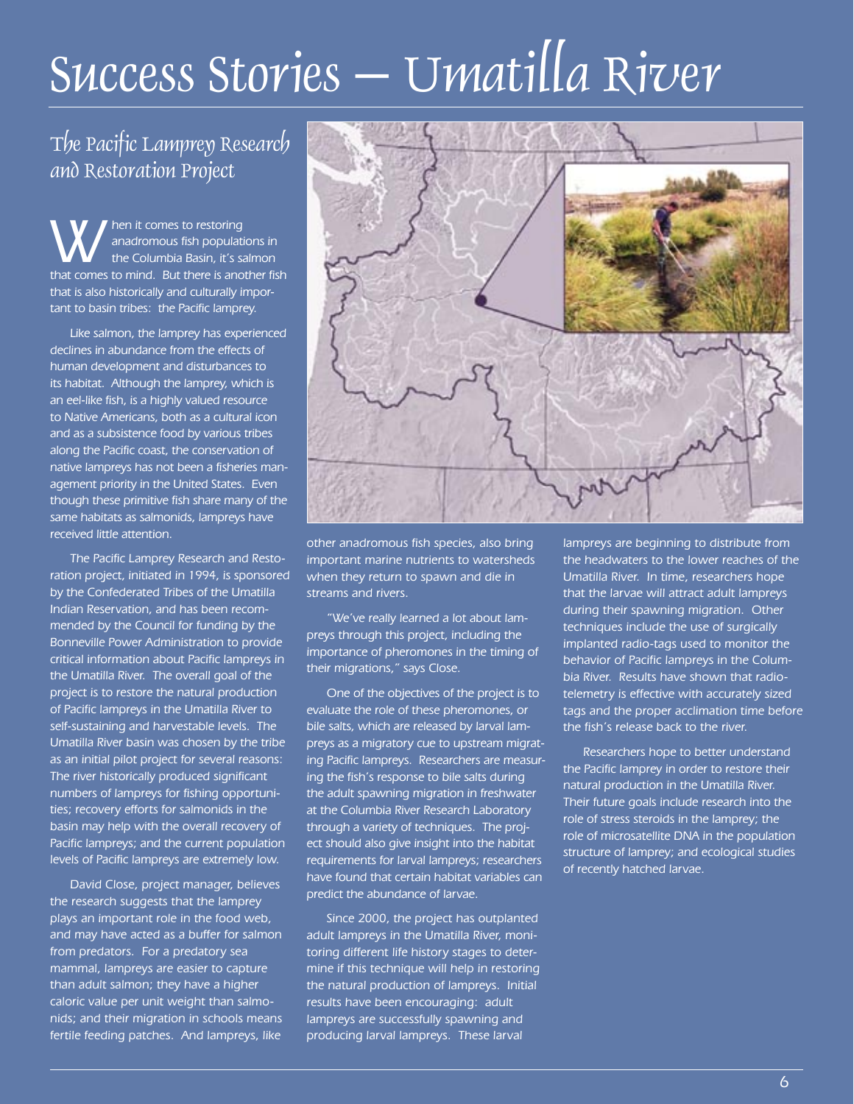# Success Stories – Umatilla River

## The Pacific Lamprey Research and Restoration Project

W hen it comes to restoring<br>anadromous fish population<br>that comes to mind. But there is and anadromous fish populations in the Columbia Basin, it's salmon that comes to mind. But there is another fish that is also historically and culturally important to basin tribes: the Pacific lamprey.

Like salmon, the lamprey has experienced declines in abundance from the effects of human development and disturbances to its habitat. Although the lamprey, which is an eel-like fish, is a highly valued resource to Native Americans, both as a cultural icon and as a subsistence food by various tribes along the Pacific coast, the conservation of native lampreys has not been a fisheries management priority in the United States. Even though these primitive fish share many of the same habitats as salmonids, lampreys have received little attention.

The Pacific Lamprey Research and Restoration project, initiated in 1994, is sponsored by the Confederated Tribes of the Umatilla Indian Reservation, and has been recommended by the Council for funding by the Bonneville Power Administration to provide critical information about Pacific lampreys in the Umatilla River. The overall goal of the project is to restore the natural production of Pacific lampreys in the Umatilla River to self-sustaining and harvestable levels. The Umatilla River basin was chosen by the tribe as an initial pilot project for several reasons: The river historically produced significant numbers of lampreys for fishing opportunities; recovery efforts for salmonids in the basin may help with the overall recovery of Pacific lampreys; and the current population levels of Pacific lampreys are extremely low.

David Close, project manager, believes the research suggests that the lamprey plays an important role in the food web, and may have acted as a buffer for salmon from predators. For a predatory sea mammal, lampreys are easier to capture than adult salmon; they have a higher caloric value per unit weight than salmonids; and their migration in schools means fertile feeding patches. And lampreys, like



other anadromous fish species, also bring important marine nutrients to watersheds when they return to spawn and die in streams and rivers.

"We've really learned a lot about lampreys through this project, including the importance of pheromones in the timing of their migrations," says Close.

One of the objectives of the project is to evaluate the role of these pheromones, or bile salts, which are released by larval lampreys as a migratory cue to upstream migrating Pacific lampreys. Researchers are measuring the fish's response to bile salts during the adult spawning migration in freshwater at the Columbia River Research Laboratory through a variety of techniques. The project should also give insight into the habitat requirements for larval lampreys; researchers have found that certain habitat variables can predict the abundance of larvae.

Since 2000, the project has outplanted adult lampreys in the Umatilla River, monitoring different life history stages to determine if this technique will help in restoring the natural production of lampreys. Initial results have been encouraging: adult lampreys are successfully spawning and producing larval lampreys. These larval

lampreys are beginning to distribute from the headwaters to the lower reaches of the Umatilla River. In time, researchers hope that the larvae will attract adult lampreys during their spawning migration. Other techniques include the use of surgically implanted radio-tags used to monitor the behavior of Pacific lampreys in the Columbia River. Results have shown that radiotelemetry is effective with accurately sized tags and the proper acclimation time before the fish's release back to the river.

Researchers hope to better understand the Pacific lamprey in order to restore their natural production in the Umatilla River. Their future goals include research into the role of stress steroids in the lamprey; the role of microsatellite DNA in the population structure of lamprey; and ecological studies of recently hatched larvae.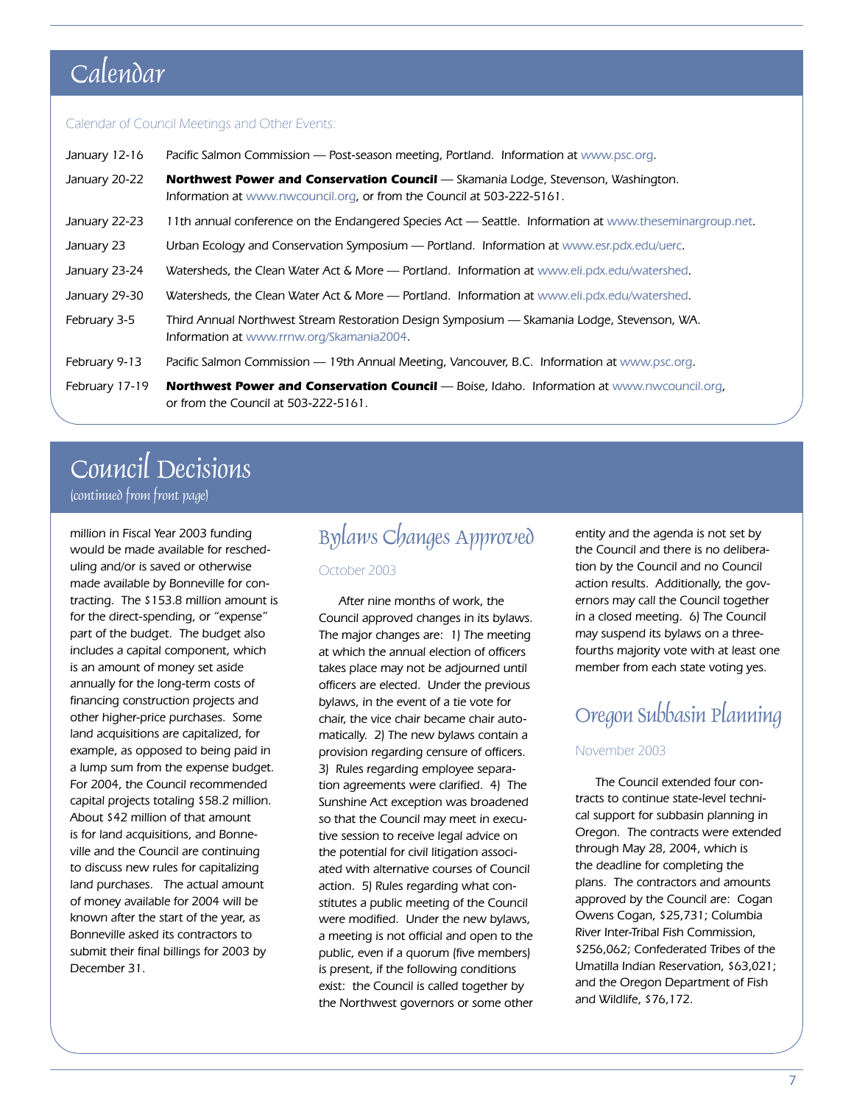## Calendar

### Calendar of Council Meetings and Other Events:

| January 12-16  | Pacific Salmon Commission — Post-season meeting, Portland. Information at www.psc.org.                                                                      |
|----------------|-------------------------------------------------------------------------------------------------------------------------------------------------------------|
| January 20-22  | Northwest Power and Conservation Council - Skamania Lodge, Stevenson, Washington.<br>Information at www.nwcouncil.org, or from the Council at 503-222-5161. |
| January 22-23  | 11th annual conference on the Endangered Species Act — Seattle. Information at www.theseminargroup.net.                                                     |
| January 23     | Urban Ecology and Conservation Symposium - Portland. Information at www.esr.pdx.edu/uerc.                                                                   |
| January 23-24  | Watersheds, the Clean Water Act & More - Portland. Information at www.eli.pdx.edu/watershed.                                                                |
| January 29-30  | Watersheds, the Clean Water Act & More — Portland. Information at www.eli.pdx.edu/watershed.                                                                |
| February 3-5   | Third Annual Northwest Stream Restoration Design Symposium — Skamania Lodge, Stevenson, WA.<br>Information at www.rrnw.org/Skamania2004.                    |
| February 9-13  | Pacific Salmon Commission — 19th Annual Meeting, Vancouver, B.C. Information at www.psc.org.                                                                |
| February 17-19 | <b>Northwest Power and Conservation Council</b> — Boise, Idaho. Information at www.nwcouncil.org,<br>or from the Council at 503-222-5161.                   |

## Council Decisions (continued from front page)

million in Fiscal Year 2003 funding would be made available for rescheduling and/or is saved or otherwise made available by Bonneville for contracting. The \$153.8 million amount is for the direct-spending, or "expense" part of the budget. The budget also includes a capital component, which is an amount of money set aside annually for the long-term costs of financing construction projects and other higher-price purchases. Some land acquisitions are capitalized, for example, as opposed to being paid in a lump sum from the expense budget. For 2004, the Council recommended capital projects totaling \$58.2 million. About \$42 million of that amount is for land acquisitions, and Bonneville and the Council are continuing to discuss new rules for capitalizing land purchases. The actual amount of money available for 2004 will be known after the start of the year, as Bonneville asked its contractors to submit their final billings for 2003 by December 31.

## Bylaws Changes Approved October 2003

After nine months of work, the Council approved changes in its bylaws. The major changes are: 1) The meeting at which the annual election of officers takes place may not be adjourned until officers are elected. Under the previous bylaws, in the event of a tie vote for chair, the vice chair became chair automatically. 2) The new bylaws contain a provision regarding censure of officers. 3) Rules regarding employee separation agreements were clarified. 4) The Sunshine Act exception was broadened so that the Council may meet in executive session to receive legal advice on the potential for civil litigation associated with alternative courses of Council action. 5) Rules regarding what constitutes a public meeting of the Council were modified. Under the new bylaws, a meeting is not official and open to the public, even if a quorum (five members) is present, if the following conditions exist: the Council is called together by the Northwest governors or some other entity and the agenda is not set by the Council and there is no deliberation by the Council and no Council action results. Additionally, the governors may call the Council together in a closed meeting. 6) The Council may suspend its bylaws on a threefourths majority vote with at least one member from each state voting yes.

## Oregon Subbasin Planning

### November 2003

The Council extended four contracts to continue state-level technical support for subbasin planning in Oregon. The contracts were extended through May 28, 2004, which is the deadline for completing the plans. The contractors and amounts approved by the Council are: Cogan Owens Cogan, \$25,731; Columbia River Inter-Tribal Fish Commission, \$256,062; Confederated Tribes of the Umatilla Indian Reservation, \$63,021; and the Oregon Department of Fish and Wildlife, \$76,172.